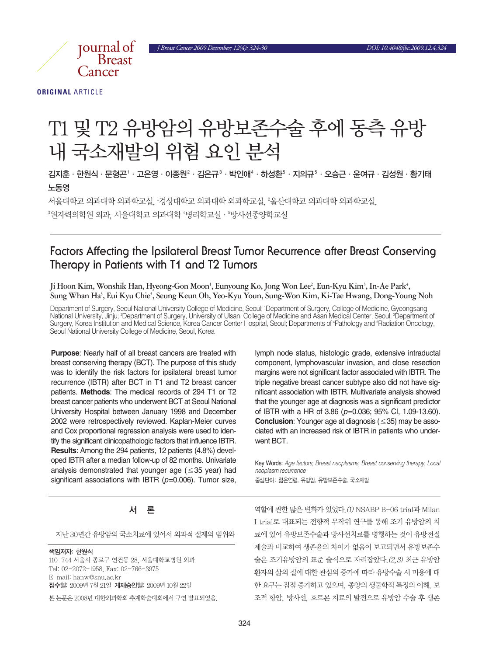*J Breast Cancer 2009 December; 12(4): 324-30 DOI: 10.4048/jbc.2009.12.4.324*



**ORIGINAL** ARTICLE

# T1 및 T2 유방암의 유방보존수술 후에 동측 유방 내국소재발의위험요인분석

김지훈 · 한원식 · 문형곤' · 고은영 · 이종원' · 김은규' · 박인애' · 하성환' · 지의규' · 오승근 · 윤여규 · 김성원 · 황기태 노동영

서울대학교 의과대학 외과학교의 의과대학 외과학교실, '울산대학교 의과대학 외과학교실, °원자력의학원 외과, 서울대학교 의과대학 '병리학교실•'방사선종양학교실

## **Factors Affecting the Ipsilateral Breast Tumor Recurrence after Breast Conserving Therapy in Patients with T1 and T2 Tumors**

Ji Hoon Kim, Wonshik Han, Hyeong-Gon Moon', Eunyoung Ko, Jong Won Lee<sup>2</sup>, Eun-Kyu Kim<sup>3</sup>, In-Ae Park<sup>4</sup>, **Sung Whan Ha5 , Eui Kyu Chie5 , Seung Keun Oh, Yeo-Kyu Youn, Sung-Won Kim, Ki-Tae Hwang, Dong-Young Noh**

Department of Surgery, Seoul National University College of Medicine, Seoul; 1 Department of Surgery, College of Medicine, Gyeongsang National University, Jinju; <del>?</del>Department of Surgery, University of Ulsan, College of Medicine and Asan Medical Center, Seoul; <sup>3</sup>Department of Surgery, Korea Institution and Medical Science, Korea Cancer Center Hospital, Seoul; Departments of 4 Pathology and 5 Radiation Oncology, Seoul National University College of Medicine, Seoul, Korea

**Purpose**: Nearly half of all breast cancers are treated with breast conserving therapy (BCT). The purpose of this study was to identify the risk factors for ipsilateral breast tumor recurrence (IBTR) after BCT in T1 and T2 breast cancer patients. **Methods**: The medical records of 294 T1 or T2 breast cancer patients who underwent BCT at Seoul National University Hospital between January 1998 and December 2002 were retrospectively reviewed. Kaplan-Meier curves and Cox proportional regression analysis were used to identify the significant clinicopathologic factors that influence IBTR. **Results**: Among the 294 patients, 12 patients (4.8%) developed IBTR after a median follow-up of 82 months. Univariate analysis demonstrated that younger age ( $\leq$ 35 year) had significant associations with IBTR (*p*=0.006). Tumor size,

#### lymph node status, histologic grade, extensive intraductal component, lymphovascular invasion, and close resection margins were not significant factor associated with IBTR. The triple negative breast cancer subtype also did not have significant association with IBTR. Multivariate analysis showed that the younger age at diagnosis was a significant predictor of IBTR with a HR of 3.86 (*p*=0.036; 95% CI, 1.09-13.60). **Conclusion**: Younger age at diagnosis (≤35) may be associated with an increased risk of IBTR in patients who underwent BCT.

Key Words: *Age factors, Breast neoplasms, Breast conserving therapy, Local neoplasm recurrence* 중심단어: 젊은연령, 유방암, 유방보존수술, 국소재발

### 서

지난 30년간 유방암의 국소치료에 있어서 외과적 절제의 범위와

#### 책임저자: 한원식

110-744 서울시 종로구 연건동 28, 서울대학교병원 외과 Tel: 02-2072-1958, Fax: 02-766-3975 E-mail: hanw@snu.ac.kr 접수일: 2009년 7월 21일 게재승인일: 2009년 10월 22일

본 논문은 2008년 대한외과학회 추계학술대회에서 구연 발표되었음.

역할에 관한 많은 변화가 있었다. (1) NSABP B-06 trial과 Milan I trial로 대표되는 전향적 무작위 연구를 통해 조기 유방암의 치 료에 있어 유방보존수술과 방사선치료를 병행하는 것이 유방전절 제술과 비교하여 생존율의 차이가 없음이 보고되면서 유방보존수 술은 조기유방암의 표준 술식으로 자리잡았다.(2,3) 최근 유방암 환자의 삶의 질에 대한 관심의 증가에 따라 유방수술 시 미용에 대 한 요구는 점점 증가하고 있으며, 종양의 생물학적 특징의 이해, 보 조적 항암, 방사선, 호르몬 치료의 발전으로 유방암 수술 후 생존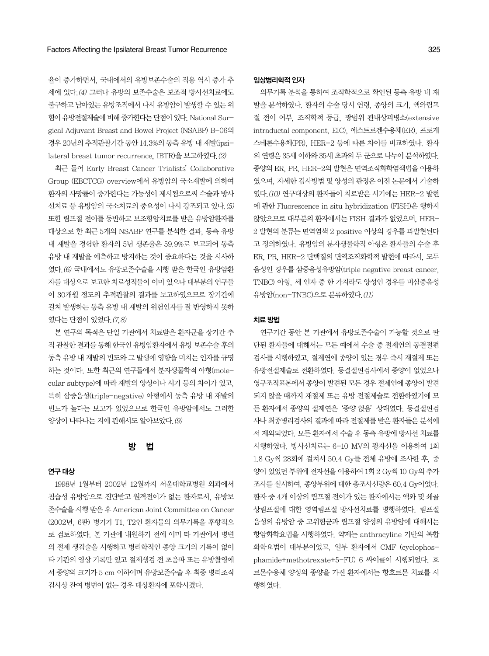율이 증가하면서, 국내에서의 유방보존수술의 적용 역시 증가 추 세에 있다.(4) 그러나 유방의 보존수술은 보조적 방사선치료에도 불구하고 남아있는 유방조직에서 다시 유방암이 발생할 수 있는 위 험이유방전절제술에비해증가한다는단점이있다. National Surgical Adjuvant Breast and Bowel Project (NSABP) B-06의 경우20년의추적관찰기간동안14.3%의동측유방내재발(ipsilateral breast tumor recurrence, IBTR)을보고하였다.(2)

최근 들어 Early Breast Cancer Trialists'Collaborative Group (EBCTCG) overview에서 유방암의 국소재발에 의하여 환자의 사망률이 증가한다는 가능성이 제시됨으로써 수술과 방사 선치료 등 유방암의 국소치료의 중요성이 다시 강조되고 있다. (5) 또한 림프절 전이를 동반하고 보조항암치료를 받은 유방암환자를 대상으로 한 최근 5개의 NSABP 연구를 분석한 결과, 동측 유방 내 재발을 경험한 환자의 5년 생존율은 59.9%로 보고되어 동측 유방 내 재발을 예측하고 방지하는 것이 중요하다는 것을 시사하 였다.(6) 국내에서도 유방보존수술을 시행 받은 한국인 유방암환 자를 대상으로 보고한 치료성적들이 이미 있으나 대부부의 연구들 이 30개월 정도의 추적관찰의 결과를 보고하였으므로 장기간에 걸쳐 발생하는 동측 유방 내 재발의 위험인자를 잘 반영하지 못하 였다는단점이있었다.(7,8)

본 연구의 목적은 단일 기관에서 치료받은 환자군을 장기간 추 적관찰한결과를통해한국인유방암환자에서유방보존수술후의 동측 유방 내 재발의 빈도와 그 발생에 영향을 미치는 인자를 규명 하는 것이다. 또한 최근의 연구들에서 분자생물학적 아형(molecular subtype)에따라재발의양상이나시기등의차이가있고, 특히 삼중음성(triple-negative) 아형에서 동측 유방 내 재발의 빈도가 높다는 보고가 있었으므로 한국인 유방암에서도 그러한 양상이 나타나는 지에 관해서도 알아보았다. (9)

#### 방 법

#### 연구대상

1998년 1월부터 2002년 12월까지 서울대학교병원 외과에서 침습성 유방암으로 진단받고 원격전이가 없는 환자로서, 유방보 존수술을시행받은후American Joint Committee on Cancer (2002년, 6판) 병기가 T1, T2인 환자들의 의무기록을 후향적으 로 검토하였다. 본 기관에 내원하기 전에 이미 타 기관에서 병변 의 절제 생검술을 시행하고 병리학적인 종양 크기의 기록이 없이 타 기관의 영상 기록만 있고 절제생검 전 초음파 또는 유방촬영에 서 종양의 크기가 5 cm 이하이며 유방보존수술 후 최종 병리조직 검사상 잔여 병변이 없는 경우 대상환자에 포함시켰다.

#### 임상병리학적인자

의무기록 분석을 통하여 조직학적으로 확인된 동측 유방 내 재 발을 분석하였다. 환자의 수술 당시 연령, 종양의 크기, 액와림프 절 전이 여부, 조직학적 등급, 광범위 관내상피병소(extensive intraductal component, EIC), 에스트로겐수용체(ER), 프로게 스테론수용체(PR), HER-2 등에 따른 차이를 비교하였다. 환자 의 연령은 35세 이하와 35세 초과의 두 규으로 나누어 부석하였다. 종양의 ER, PR, HER-2의발현은면역조직화학염색법을이용하 였으며, 자세한 검사방법 및 양성의 판정은 이전 논문에서 기술하 였다.  $(10)$  연구대상의 환자들이 치료받은 시기에는 HER-2 발현 에관한 Fluorescence in situ hybridization (FISH)은행하지 않았으므로 대부분의 화자에서는 FISH 결과가 없었으며, HER-2 발현의 분류는 면역염색 2 positive 이상의 경우를 과발현된다 고 정의하였다. 유방암의 분자생물학적 아형은 환자들의 수술 후 ER, PR, HER-2 단백질의 면역조직화학적 발현에 따라서, 모두 음성인 경우를 삼중음성유방암(triple negative breast cancer, TNBC) 아형, 세인자중한가지라도양성인 경우를비삼중음성 유방암(non-TNBC)으로분류하였다.(11)

#### 치료방법

연구기간 동안 본 기관에서 유방보존수술이 가능할 것으로 판 단된 환자들에 대해서는 모든 예에서 수술 중 절제연의 동결절편 검사를 시행하였고, 절제연에 종양이 있는 경우 즉시 재절제 또는 유방전절제술로 전환하였다. 동결절편검사에서 종양이 없었으나 영구조직표본에서 종양이 발견된 모든 경우 절제연에 종양이 발견 되지 않을 때까지 재절제 또는 유방 전절제술로 전환하였기에 모 든 환자에서 종양의 절제연은'종양 없음'상태였다. 동결절편검 사나 최종병리검사의 결과에 따라 전절제를 받은 환자들은 분석에 서 제외되었다. 모든 환자에서 수술 후 동측 유방에 방사선 치료를 시행하였다. 방사선치료는 6-10 MV의 광자선을 이용하여 1회 1.8 Gy씩 28회에 걸쳐서 50.4 Gy를 전체 유방에 조사한 후, 종 양이 있었던 부위에 전자선을 이용하여 1회 2 Gy씩 10 Gy의 추가 조사를 실시하여, 종양부위에 대한 총조사선량은 60.4 Gy이었다. 환자 중 4개 이상의 림프절 전이가 있는 환자에서는 액와 및 쇄골 상림프절에 대한 영역림프절 방사선치료를 병행하였다. 림프절 음성의 유방암 중 고위험군과 림프절 양성의 유방암에 대해서는 항암화학요법을 시행하였다. 약제는 anthracyline 기반의 복합 화학요법이 대부분이었고, 일부 환자에서 CMF (cyclophosphamide+methotrexate+5-FU) 6 싸이클이 시행되었다. 호 르몬수용체 양성의 종양을 가진 환자에서는 항호르몬 치료를 시 행하였다.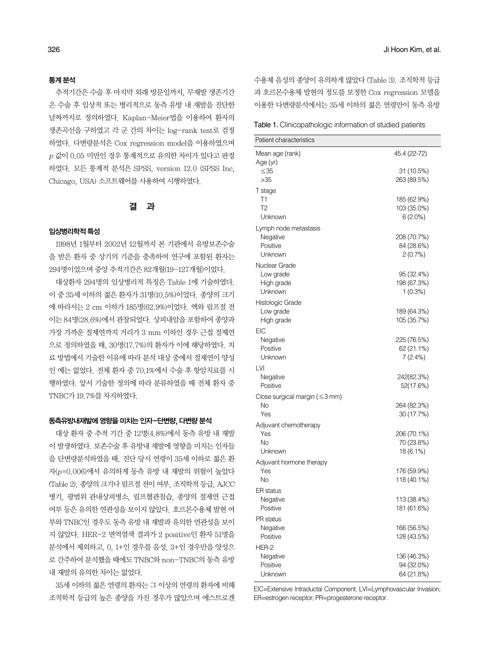#### 통계분석

추적기간은 수술 후 마지막 외래 방문일까지, 무재발 생존기간 은 수술 후 임상적 또는 병리적으로 동측 유방 내 재발을 진단한 날짜까지로 정의하였다. Kaplan-Meier법을 이용하여 환자의 생존곡선을 구하였고 각 군 간의 차이는 log-rank test로 검정 하였다. 다변량분석은 Cox regression model을 이용하였으며  $p$  값이  $0.05$  미만인 경우 통계적으로 유의한 차이가 있다고 판정 하였다. 모든 통계적 분석은 SPSS, version 12.0 (SPSS Inc, Chicago, USA) 소프트웨어를사용하여시행하였다.

#### 결 과

#### 임상병리학적특성

1998년 1월부터 2002년 12월까지 본 기관에서 유방보존수술 을 받은 환자 중 상기의 기준을 충족하여 연구에 포함된 환자는 294명이었으며중앙추적기간은 82개월(19-127개월)이었다.

대상환자 294명의 임상병리적 특징은 Table 1에 기술하였다. 이 중 35세 이하의 젊은 환자가 31명(10.5%)이었다. 종양의 크기 에 따라서는 2 cm 이하가 185명(62.9%)이었다. 액와 림프절 전 이는 84명(28.6%)에서 관찰되었다. 상피내암을 포함하여 종양과 가장 가까운 절제연까지 거리가 3 mm 이하인 경우 근접 절제연 으로 정의하였을 때, 30명(17.7%)의 환자가 이에 해당하였다. 치 료 방법에서 기술한 이유에 따라 분석 대상 중에서 절제연이 양성 인 예는 없었다. 전체 환자 중 70.1%에서 수술 후 항암치료를 시 행하였다. 앞서 기술한 정의에 따라 분류하였을 때 전체 환자 중 TNBC가 19.7%를차지하였다.

#### 동측유방내재발에 영향을 미치는 인자-단변량, 다변량 분석

대상 환자 중 추적 기간 중 12명(4.8%)에서 동측 유방 내 재발 이 발생하였다. 보존수술 후 유방내 재발에 영향을 미치는 인자들 을 단변량분석하였을 때, 진단 당시 연령이 35세 이하로 젊은 환 자(p=0.006)에서 유의하게 동측 유방 내 재발의 위험이 높았다 (Table 2). 종양의 크기나 림프절 전이 여부, 조직학적 등급, AJCC 병기, 광범위 관내상피병소, 림프혈관침습, 종양의 절제연 근접 여부 등은 유의한 연관성을 보이지 않았다. 호르몬수용체 발현 여 부와 TNBC인 경우도 동측 유방 내 재발과 유의한 연관성을 보이 지 않았다. HER-2 면역염색 결과가 2 positive인 환자 51명을 분석에서 제외하고, 0, 1+인 경우를 음성, 3+인 경우만을 양성으 로 간주하여 분석했을 때에도 TNBC와 non-TNBC의 동측 유방 내 재발의 유의한 차이는 없었다.

35세 이하의 젊은 연령의 환자는 그 이상의 연령의 환자에 비해 조직학적 등급의 높은 종양을 가진 경우가 많았으며 에스트로겐 수용체 음성의 종양이 유의하게 많았다 (Table 3). 조직학적 등급 과 호르몬수용체 발현의 정도를 보정한 Cox regression 모델을 이용한 다변량분석에서는 35세 이하의 젊은 연령만이 동측 유방

| Table 1. Clinicopathologic information of studied patients |  |  |
|------------------------------------------------------------|--|--|
|                                                            |  |  |

| Patient characteristics              |                           |
|--------------------------------------|---------------------------|
| Mean age (rank)                      | 45.4 (22-72)              |
| Age (yr)                             |                           |
| $\leq$ 35                            | 31 (10.5%)                |
| >35                                  | 263 (89.5%)               |
| T stage                              |                           |
| T1                                   | 185 (62.9%)               |
| T2<br>Unknown                        | 103 (35.0%)<br>$6(2.0\%)$ |
|                                      |                           |
| Lymph node metastasis                |                           |
| Negative<br>Positive                 | 208 (70.7%)<br>84 (28.6%) |
| Unknown                              | 2(0.7%)                   |
| Nuclear Grade                        |                           |
| Low grade                            | 95 (32.4%)                |
| High grade                           | 198 (67.3%)               |
| Unknown                              | 1(0.3%)                   |
| Histologic Grade                     |                           |
| Low grade                            | 189 (64.3%)               |
| High grade                           | 105 (35.7%)               |
| EIC                                  |                           |
| Negative                             | 225 (76.5%)               |
| Positive                             | 62 (21.1%)                |
| Unknown                              | 7 (2.4%)                  |
| LVI                                  |                           |
| Negative                             | 242(82.3%)                |
| Positive                             | 52(17.6%)                 |
| Close surgical margin ( $\leq$ 3 mm) |                           |
| No                                   | 264 (82.3%)               |
| Yes                                  | 30 (17.7%)                |
| Adjuvant chemotherapy                |                           |
| Yes                                  | 206 (70.1%)               |
| No<br>Unknown                        | 70 (23.8%)<br>18 (6.1%)   |
|                                      |                           |
| Adjuvant hormone therapy<br>Yes      | 176 (59.9%)               |
| No                                   | 118 (40.1%)               |
| ER status                            |                           |
| Negative                             | 113 (38.4%)               |
| Positive                             | 181 (61.6%)               |
| PR status                            |                           |
| Negative                             | 166 (56.5%)               |
| Positive                             | 128 (43.5%)               |
| HER-2                                |                           |
| Negative                             | 136 (46.3%)               |
| Positive                             | 94 (32.0%)                |
| Unknown                              | 64 (21.8%)                |

EIC=Extensive Intraductal Component; LVI=Lymphovascular Invasion; ER=estrogen receptor; PR=progesterone receptor.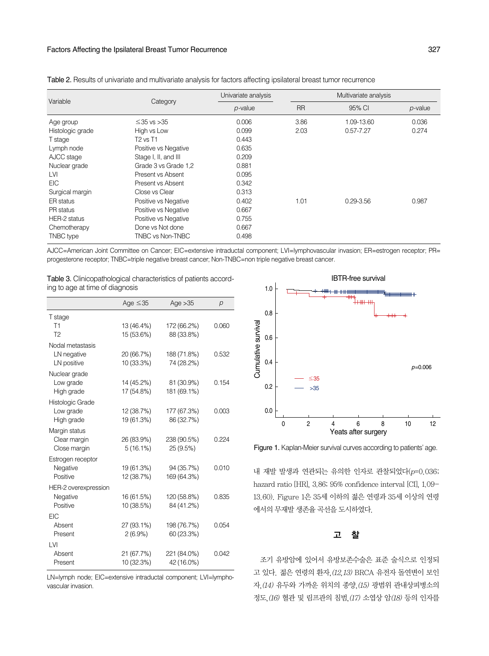#### Factors Affecting the Ipsilateral Breast Tumor Recurrence 327

| Variable         |                      | Univariate analysis | Multivariate analysis |               |            |  |  |
|------------------|----------------------|---------------------|-----------------------|---------------|------------|--|--|
|                  | Category             | $p$ -value          | <b>RR</b>             | 95% CI        | $p$ -value |  |  |
| Age group        | $\leq$ 35 vs $>$ 35  | 0.006               | 3.86                  | 1.09-13.60    | 0.036      |  |  |
| Histologic grade | High vs Low          | 0.099               | 2.03                  | $0.57 - 7.27$ | 0.274      |  |  |
| T stage          | <b>T2 vs T1</b>      | 0.443               |                       |               |            |  |  |
| Lymph node       | Positive vs Negative | 0.635               |                       |               |            |  |  |
| AJCC stage       | Stage I, II, and III | 0.209               |                       |               |            |  |  |
| Nuclear grade    | Grade 3 vs Grade 1.2 | 0.881               |                       |               |            |  |  |
| <b>LVI</b>       | Present vs Absent    | 0.095               |                       |               |            |  |  |
| <b>EIC</b>       | Present vs Absent    | 0.342               |                       |               |            |  |  |
| Surgical margin  | Close vs Clear       | 0.313               |                       |               |            |  |  |
| ER status        | Positive vs Negative | 0.402               | 1.01                  | $0.29 - 3.56$ | 0.987      |  |  |
| PR status        | Positive vs Negative | 0.667               |                       |               |            |  |  |
| HER-2 status     | Positive vs Negative | 0.755               |                       |               |            |  |  |
| Chemotherapy     | Done vs Not done     | 0.667               |                       |               |            |  |  |
| <b>TNBC</b> type | TNBC vs Non-TNBC     | 0.498               |                       |               |            |  |  |

Table 2. Results of univariate and multivariate analysis for factors affecting ipsilateral breast tumor recurrence

AJCC=American Joint Committee on Cancer; EIC=extensive intraductal component; LVI=lymphovascular invasion; ER=estrogen receptor; PR= progesterone receptor; TNBC=triple negative breast cancer; Non-TNBC=non triple negative breast cancer.

| <b>Table 3.</b> Clinicopathological characteristics of patients accord- |  |  |  |  |  |  |  |
|-------------------------------------------------------------------------|--|--|--|--|--|--|--|
| ing to age at time of diagnosis                                         |  |  |  |  |  |  |  |

|                      | Age $\leq$ 35 | Age $>35$   | р     |
|----------------------|---------------|-------------|-------|
| T stage              |               |             |       |
| T1                   | 13 (46.4%)    | 172 (66.2%) | 0.060 |
| T <sub>2</sub>       | 15 (53.6%)    | 88 (33.8%)  |       |
| Nodal metastasis     |               |             |       |
| LN negative          | 20 (66.7%)    | 188 (71.8%) | 0.532 |
| LN positive          | 10 (33.3%)    | 74 (28.2%)  |       |
| Nuclear grade        |               |             |       |
| Low grade            | 14 (45.2%)    | 81 (30.9%)  | 0.154 |
| High grade           | 17 (54.8%)    | 181 (69.1%) |       |
| Histologic Grade     |               |             |       |
| Low grade            | 12 (38.7%)    | 177 (67.3%) | 0.003 |
| High grade           | 19 (61.3%)    | 86 (32.7%)  |       |
| Margin status        |               |             |       |
| Clear margin         | 26 (83.9%)    | 238 (90.5%) | 0.224 |
| Close margin         | 5(16.1%)      | 25 (9.5%)   |       |
| Estrogen receptor    |               |             |       |
| Negative             | 19 (61.3%)    | 94 (35.7%)  | 0.010 |
| Positive             | 12 (38.7%)    | 169 (64.3%) |       |
| HER-2 overexpression |               |             |       |
| Negative             | 16 (61.5%)    | 120 (58.8%) | 0.835 |
| Positive             | 10 (38.5%)    | 84 (41.2%)  |       |
| <b>EIC</b>           |               |             |       |
| Absent               | 27 (93.1%)    | 198 (76.7%) | 0.054 |
| Present              | $2(6.9\%)$    | 60 (23.3%)  |       |
| LVI                  |               |             |       |
| Absent<br>Present    | 21 (67.7%)    | 221 (84.0%) | 0.042 |
|                      | 10 (32.3%)    | 42 (16.0%)  |       |

LN=lymph node; EIC=extensive intraductal component; LVI=lymphovascular invasion.



Figure 1. Kaplan-Meier survival curves according to patients' age.

내 재발 발생과 연관되는 유의한 인자로 관찰되었다(p=0.036; hazard ratio [HR], 3.86; 95% confidence interval [CI], 1.09- 13.60). Figure 1은 35세 이하의 젊은 연령과 35세 이상의 연령 에서의무재발생존율곡선을도시하였다.

#### 고 찰

조기 유방암에 있어서 유방보존수술은 표준 술식으로 인정되 고 있다. 젊은 연령의 환자,(12,13) BRCA 유전자 돌연변이 보인 자,(14) 유두와 가까운 위치의 종양,(15) 광범위 관내상피병소의 정도,(16) 혈관 및 림프관의 침범,(17) 소엽상 암(18) 등의 인자를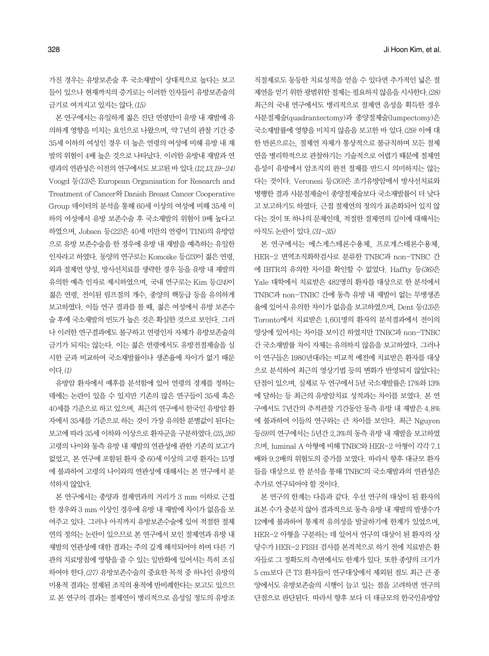가진 경우는 유방보존술 후 국소재발이 상대적으로 높다는 보고 들이 있으나 현재까지의 증거로는 이러한 인자들이 유방보존술의 금기로여겨지고있지는않다.(15)

본 연구에서는 유일하게 젊은 진단 연령만이 유방 내 재발에 유 의하게 영향을 미치는 요인으로 나왔으며, 약 7년의 관찰 기간 중 35세 이하의 여성인 경우 더 높은 연령의 여성에 비해 유방 내 재 발의 위험이 4배 높은 것으로 나타났다. 이러한 유방내 재발과 연 령과의 연관성은 이전의 연구에서도 보고된 바 있다. (12,13,19-24) Voogd 등(13)은 European Organisation for Research and Treatment of Cancer와Danish Breast Cancer Cooperative Group 데이터의 분석을 통해 60세 이상의 여성에 비해 35세 이 하의 여성에서 유방 보존수술 후 국소재발의 위험이 9배 높다고 하였으며, Jobsen 등(22)은 40세 미만의 연령이 T1N0의 유방암 으로 유방 보존수술을 한 경우에 유방 내 재발을 예측하는 유일한 인자라고 하였다. 동양의 연구로는 Komoike 등(23)이 젊은 연령, 외과절제연양성, 방사선치료를생략한경우등을유방내재발의 유의한 예측 인자로 제시하였으며, 국내 연구로는 Kim 등(24)이 젊은 연령, 전이된 림프절의 개수, 종양의 핵등급 등을 유의하게 보고하였다. 이들 연구 결과를 볼 때, 젊은 여성에서 유방 보존수 술후에국소재발의빈도가높은것은확실한것으로보인다. 그러 나 이러한 연구결과에도 불구하고 연령인자 자체가 유방보존술의 금기가 되지는 않는다. 이는 젊은 연령에서도 유방전절제술을 실 시한 군과 비교하여 국소재발률이나 생존율에 차이가 없기 때문 이다.(1)

유방암 환자에서 예후를 분석함에 있어 연령의 경계를 정하는 데에는 논란이 있을 수 있지만 기존의 많은 연구들이 35세 혹은 40세를 기주으로 하고 있으며, 최근의 연구에서 한국인 유방암 화 자에서 35세를 기준으로 하는 것이 가장 유의한 분별값이 된다는 보고에 따라 35세 이하와 이상으로 환자군을 구분하였다. (25,26) 고령의 나이와 동측 유방 내 재발의 연관성에 관한 기존의 보고가 없었고, 본 연구에 포함된 환자 중 60세 이상의 고령 환자는 15명 에 불과하여 고령의 나이와의 연관성에 대해서는 본 연구에서 분 석하지 않았다.

본 연구에서는 종양과 절제연과의 거리가 3 mm 이하로 근접 한 경우와 3 mm 이상인 경우에 유방 내 재발에 차이가 없음을 보 여주고 있다. 그러나 아직까지 유방보존수술에 있어 적절한 절제 연의 정의는 논란이 있으므로 본 연구에서 보인 절제연과 유방 내 재발의 연관성에 대한 결과는 주의 깊게 해석되어야 하며 다른 기 관의 치료방침에 영향을 줄 수 있는 일반화에 있어서는 특히 조심 하여야 한다.(27) 유방보존수술의 중요한 목적 중 하나인 유방의 미용적 결과는 절제된 조직의 용적에 반비례한다는 보고도 있으므 로 본 연구의 결과는 절제연이 병리적으로 음성일 정도의 유방조 직절제로도 동등한 치료성적을 얻을 수 있다면 추가적인 넓은 절 제연을 얻기 위한 광범위한 절제는 필요하지 않음을 시사한다. (28) 최근의 국내 연구에서도 병리적으로 절제연 음성을 획득한 경우 사분절제술(quadrantectomy)과 종양절제술(lumpectomy)은 국소재발률에 영향을 미치지 않음을 보고한 바 있다. (29) 이에 대 한 반론으로는, 절제연 자체가 통상적으로 불규칙하며 모든 절제 연을 병리학적으로 관찰하기는 기술적으로 어렵기 때문에 절제연 음성이 유방에서 암조직의 완전 절제를 반드시 의미하지는 않는 다는 것이다. Veronesi 등(30)은 조기유방암에서 방사선치료와 병행한 결과 사분절제술이 종양절제술보다 국소재발률이 더 낮다 고 보고하기도 하였다. 근접 절제연의 정의가 표준화되어 있지 않 다는것이또하나의문제인데, 적절한절제연의길이에대해서는 아직도 논란이 있다. (31-35)

본 연구에서는 에스게스테론수용체, 프로게스테론수용체, HER-2 면역조직화학검사로 분류한 TNBC과 non-TNBC 간 에 IBTR의 유의한 차이를 확인할 수 없었다. Haffty 등(36)은 Yale 대학에서 치료받은 482명의 환자를 대상으로 한 분석에서 TNBC과 non-TNBC 간에 동측 유방 내 재발이 없는 무병생존 율에 있어서 유의한 차이가 없음을 보고하였으며, Dent 등(13)은 Toronto에서 치료받은 1,601명의 환자의 분석결과에서 전이의 양상에 있어서는 차이를 보이긴 하였지만 TNBC과 non-TNBC 간 국소재발률 차이 자체는 유의하지 않음을 보고하였다. 그러나 이 연구들은 1980년대라는 비교적 예전에 치료받은 환자를 대상 으로 분석하여 최근의 영상기법 등의 변화가 반영되지 않았다는 단점이 있으며, 실제로 두 연구에서 5년 국소재발률은 17%와 13% 에 달하는 등 최근의 유방암치료 성적과는 차이를 보였다. 본 연 구에서도 7년간의 추적관찰 기간동안 동측 유방 내 재발은 4.8% 에 불과하여 이들의 연구와는 큰 차이를 보인다. 최근 Nguyen 등(9)의 연구에서는 5년간 2.3%의 동측 유방 내 재발을 보고하였 으며, luminal A 아형에 비해 TNBC와 HER-2 아형이 각각 7.1 배와 9.2배의 위험도의 증가를 보였다. 따라서 향후 대규모 환자 들을 대상으로 한 분석을 통해 TNBC의 국소재발과의 연관성은 추가로 연구되어야 할 것이다.

본 연구의 한계는 다음과 같다. 우선 연구의 대상이 된 환자의 표본 수가 충분치 않아 결과적으로 동측 유방 내 재발의 발생수가 12예에 불과하여 통계적 유의성을 발굴하기에 한계가 있었으며, HER-2 아형을 구분하는 데 있어서 연구의 대상이 된 환자의 상 당수가 HER-2 FISH 검사를 본격적으로 하기 전에 치료받은 환 자들로 그 정확도의 측면에서도 한계가 있다. 또한 종양의 크기가 5 cm보다 큰 T3 환자들이 연구대상에서 제외된 점도 최근 큰 종 양에서도 유방보존술의 시행이 늘고 있는 점을 고려하면 연구의 단점으로 판단된다. 따라서 향후 보다 더 대규모의 한국인유방암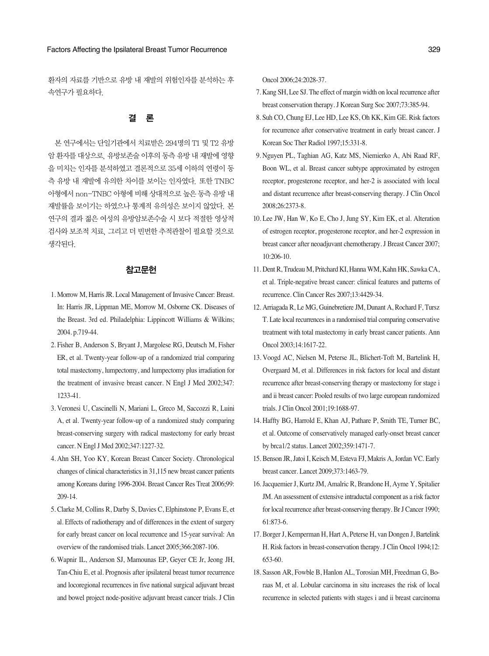환자의 자료를 기반으로 유방 내 재발의 위험인자를 분석하는 후 속연구가필요하다.

### 결 론

본 연구에서는 단일기관에서 치료받은 294명의 T1 및 T2 유방 암환자를대상으로, 유방보존술이후의동측유방내재발에영향 을 미치는 인자를 분석하였고 결론적으로 35세 이하의 연령이 동 측 유방 내 재발에 유의한 차이를 보이는 인자였다. 또한 TNBC 아형에서 non-TNBC 아형에 비해 상대적으로 높은 동측 유방 내 재발률을 보이기는 하였으나 통계적 유의성은 보이지 않았다. 본 연구의 결과 젊은 여성의 유방암보존수술 시 보다 적절한 영상적 검사와 보조적 치료, 그리고 더 빈번한 추적관찰이 필요할 것으로 생각된다.

#### 참고문헌

- 1. Morrow M, Harris JR. Local Management of Invasive Cancer: Breast. In: Harris JR, Lippman ME, Morrow M, Osborne CK. Diseases of the Breast. 3rd ed. Philadelphia: Lippincott Williams & Wilkins; 2004. p.719-44.
- 2. Fisher B, Anderson S, Bryant J, Margolese RG, Deutsch M, Fisher ER, et al. Twenty-year follow-up of a randomized trial comparing total mastectomy, lumpectomy, and lumpectomy plus irradiation for the treatment of invasive breast cancer. N Engl J Med 2002;347: 1233-41.
- 3. Veronesi U, Cascinelli N, Mariani L, Greco M, Saccozzi R, Luini A, et al. Twenty-year follow-up of a randomized study comparing breast-conserving surgery with radical mastectomy for early breast cancer. N Engl J Med 2002;347:1227-32.
- 4. Ahn SH, Yoo KY, Korean Breast Cancer Society. Chronological changes of clinical characteristics in 31,115 new breast cancer patients among Koreans during 1996-2004. Breast Cancer Res Treat 2006;99: 209-14.
- 5. Clarke M, Collins R, Darby S, Davies C, Elphinstone P, Evans E, et al. Effects of radiotherapy and of differences in the extent of surgery for early breast cancer on local recurrence and 15-year survival: An overview of the randomised trials. Lancet 2005;366:2087-106.
- 6. Wapnir IL, Anderson SJ, Mamounas EP, Geyer CE Jr, Jeong JH, Tan-Chiu E, et al. Prognosis after ipsilateral breast tumor recurrence and locoregional recurrences in five national surgical adjuvant breast and bowel project node-positive adjuvant breast cancer trials. J Clin

Oncol 2006;24:2028-37.

- 7. Kang SH, Lee SJ. The effect of margin width on local recurrence after breast conservation therapy. J Korean Surg Soc 2007;73:385-94.
- 8. Suh CO, Chung EJ, Lee HD, Lee KS, Oh KK, Kim GE. Risk factors for recurrence after conservative treatment in early breast cancer. J Korean Soc Ther Radiol 1997;15:331-8.
- 9. Nguyen PL, Taghian AG, Katz MS, Niemierko A, Abi Raad RF, Boon WL, et al. Breast cancer subtype approximated by estrogen receptor, progesterone receptor, and her-2 is associated with local and distant recurrence after breast-conserving therapy. J Clin Oncol 2008;26:2373-8.
- 10. Lee JW, Han W, Ko E, Cho J, Jung SY, Kim EK, et al. Alteration of estrogen receptor, progesterone receptor, and her-2 expression in breast cancer after neoadjuvant chemotherapy. J Breast Cancer 2007; 10:206-10.
- 11. Dent R, Trudeau M, Pritchard KI, Hanna WM, Kahn HK, Sawka CA, et al. Triple-negative breast cancer: clinical features and patterns of recurrence. Clin Cancer Res 2007;13:4429-34.
- 12. Arriagada R, Le MG, Guinebretiere JM, Dunant A, Rochard F, Tursz T. Late local recurrences in a randomised trial comparing conservative treatment with total mastectomy in early breast cancer patients. Ann Oncol 2003;14:1617-22.
- 13. Voogd AC, Nielsen M, Peterse JL, Blichert-Toft M, Bartelink H, Overgaard M, et al. Differences in risk factors for local and distant recurrence after breast-conserving therapy or mastectomy for stage i and ii breast cancer: Pooled results of two large european randomized trials. J Clin Oncol 2001;19:1688-97.
- 14. Haffty BG, Harrold E, Khan AJ, Pathare P, Smith TE, Turner BC, et al. Outcome of conservatively managed early-onset breast cancer by brca1/2 status. Lancet 2002;359:1471-7.
- 15. Benson JR, Jatoi I, Keisch M, Esteva FJ, Makris A, Jordan VC. Early breast cancer. Lancet 2009;373:1463-79.
- 16. Jacquemier J, Kurtz JM, Amalric R, Brandone H, Ayme Y, Spitalier JM. An assessment of extensive intraductal component as a risk factor for local recurrence after breast-conserving therapy. Br J Cancer 1990; 61:873-6.
- 17. Borger J, Kemperman H, Hart A, Peterse H, van Dongen J, Bartelink H. Risk factors in breast-conservation therapy. J Clin Oncol 1994;12: 653-60.
- 18. Sasson AR, Fowble B, Hanlon AL, Torosian MH, Freedman G, Boraas M, et al. Lobular carcinoma in situ increases the risk of local recurrence in selected patients with stages i and ii breast carcinoma